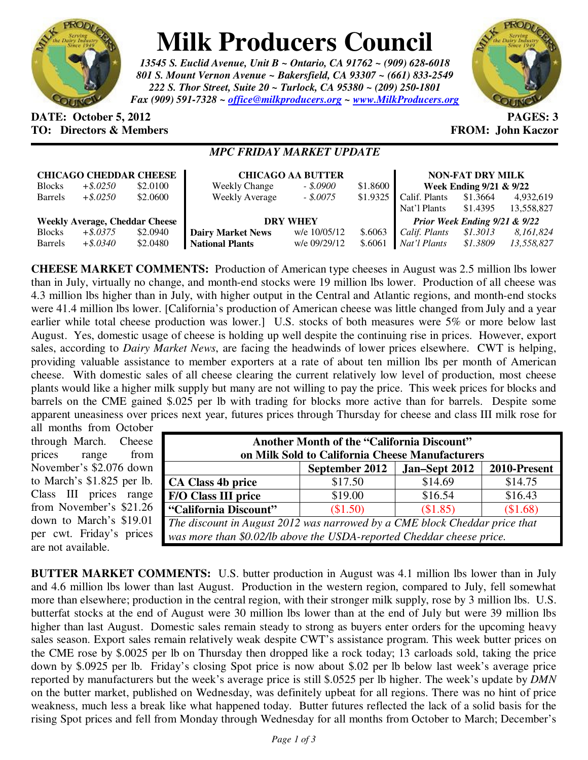

# **Milk Producers Council**

*13545 S. Euclid Avenue, Unit B ~ Ontario, CA 91762 ~ (909) 628-6018 801 S. Mount Vernon Avenue ~ Bakersfield, CA 93307 ~ (661) 833-2549 222 S. Thor Street, Suite 20 ~ Turlock, CA 95380 ~ (209) 250-1801 Fax (909) 591-7328 ~ office@milkproducers.org ~ www.MilkProducers.org*



### **DATE: October 5, 2012 PAGES: 3 TO: Directors & Members FROM: John Kaczor**

#### *MPC FRIDAY MARKET UPDATE*

| <b>CHICAGO CHEDDAR CHEESE</b>         |             |          | <b>CHICAGO AA BUTTER</b> |              |          | <b>NON-FAT DRY MILK</b>       |          |            |
|---------------------------------------|-------------|----------|--------------------------|--------------|----------|-------------------------------|----------|------------|
| <b>Blocks</b>                         | $+$ \$.0250 | \$2.0100 | <b>Weekly Change</b>     | $-.15.0900$  | \$1.8600 | Week Ending 9/21 & 9/22       |          |            |
| <b>Barrels</b>                        | $+$ \$.0250 | \$2.0600 | <b>Weekly Average</b>    | $-.5.0075$   | \$1.9325 | Calif. Plants                 | \$1.3664 | 4,932,619  |
|                                       |             |          |                          |              |          | Nat'l Plants                  | \$1.4395 | 13,558,827 |
| <b>Weekly Average, Cheddar Cheese</b> |             |          | <b>DRY WHEY</b>          |              |          | Prior Week Ending 9/21 & 9/22 |          |            |
| <b>Blocks</b>                         | $+$ \$.0375 | \$2.0940 | <b>Dairy Market News</b> | w/e 10/05/12 | \$.6063  | Calif. Plants                 | \$1.3013 | 8,161,824  |
| <b>Barrels</b>                        | $+$ \$.0340 | \$2.0480 | <b>National Plants</b>   | w/e 09/29/12 | \$.6061  | Nat'l Plants                  | \$1.3809 | 13,558,827 |

**CHEESE MARKET COMMENTS:** Production of American type cheeses in August was 2.5 million lbs lower than in July, virtually no change, and month-end stocks were 19 million lbs lower. Production of all cheese was 4.3 million lbs higher than in July, with higher output in the Central and Atlantic regions, and month-end stocks were 41.4 million lbs lower. [California's production of American cheese was little changed from July and a year earlier while total cheese production was lower.] U.S. stocks of both measures were 5% or more below last August. Yes, domestic usage of cheese is holding up well despite the continuing rise in prices. However, export sales, according to *Dairy Market News*, are facing the headwinds of lower prices elsewhere. CWT is helping, providing valuable assistance to member exporters at a rate of about ten million lbs per month of American cheese. With domestic sales of all cheese clearing the current relatively low level of production, most cheese plants would like a higher milk supply but many are not willing to pay the price. This week prices for blocks and barrels on the CME gained \$.025 per lb with trading for blocks more active than for barrels. Despite some apparent uneasiness over prices next year, futures prices through Thursday for cheese and class III milk rose for

all months from October through March. Cheese prices range from November's \$2.076 down to March's \$1.825 per lb. Class III prices range from November's \$21.26 down to March's \$19.01 per cwt. Friday's prices are not available.

| <b>Another Month of the "California Discount"</b>                          |                |               |              |  |  |  |  |
|----------------------------------------------------------------------------|----------------|---------------|--------------|--|--|--|--|
| on Milk Sold to California Cheese Manufacturers                            |                |               |              |  |  |  |  |
|                                                                            | September 2012 | Jan-Sept 2012 | 2010-Present |  |  |  |  |
| CA Class 4b price                                                          | \$17.50        | \$14.69       | \$14.75      |  |  |  |  |
| <b>F/O Class III price</b>                                                 | \$19.00        | \$16.54       | \$16.43      |  |  |  |  |
| "California Discount"                                                      | (\$1.50)       | (\$1.85)      | (\$1.68)     |  |  |  |  |
| The discount in August 2012 was narrowed by a CME block Cheddar price that |                |               |              |  |  |  |  |
| was more than \$0.02/lb above the USDA-reported Cheddar cheese price.      |                |               |              |  |  |  |  |

**BUTTER MARKET COMMENTS:** U.S. butter production in August was 4.1 million lbs lower than in July and 4.6 million lbs lower than last August. Production in the western region, compared to July, fell somewhat more than elsewhere; production in the central region, with their stronger milk supply, rose by 3 million lbs. U.S. butterfat stocks at the end of August were 30 million lbs lower than at the end of July but were 39 million lbs higher than last August. Domestic sales remain steady to strong as buyers enter orders for the upcoming heavy sales season. Export sales remain relatively weak despite CWT's assistance program. This week butter prices on the CME rose by \$.0025 per lb on Thursday then dropped like a rock today; 13 carloads sold, taking the price down by \$.0925 per lb. Friday's closing Spot price is now about \$.02 per lb below last week's average price reported by manufacturers but the week's average price is still \$.0525 per lb higher. The week's update by *DMN* on the butter market, published on Wednesday, was definitely upbeat for all regions. There was no hint of price weakness, much less a break like what happened today. Butter futures reflected the lack of a solid basis for the rising Spot prices and fell from Monday through Wednesday for all months from October to March; December's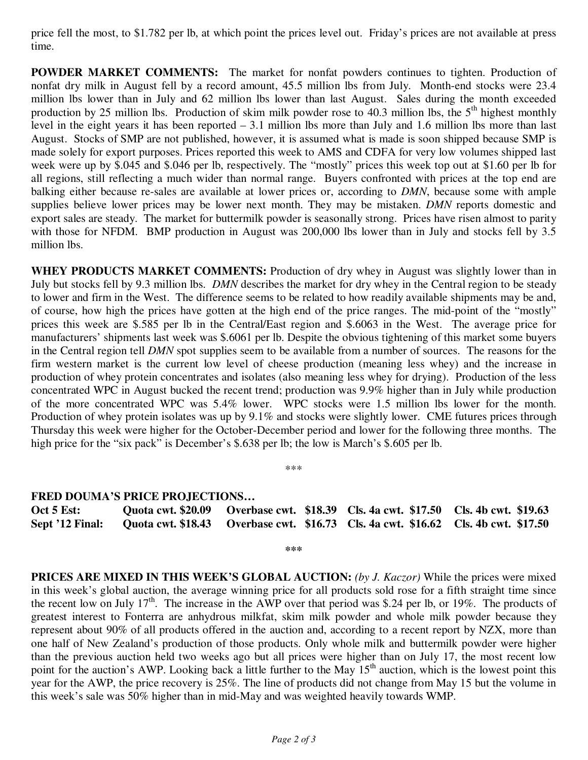price fell the most, to \$1.782 per lb, at which point the prices level out. Friday's prices are not available at press time.

**POWDER MARKET COMMENTS:** The market for nonfat powders continues to tighten. Production of nonfat dry milk in August fell by a record amount, 45.5 million lbs from July. Month-end stocks were 23.4 million lbs lower than in July and 62 million lbs lower than last August. Sales during the month exceeded production by 25 million lbs. Production of skim milk powder rose to 40.3 million lbs, the  $5<sup>th</sup>$  highest monthly level in the eight years it has been reported – 3.1 million lbs more than July and 1.6 million lbs more than last August. Stocks of SMP are not published, however, it is assumed what is made is soon shipped because SMP is made solely for export purposes. Prices reported this week to AMS and CDFA for very low volumes shipped last week were up by \$.045 and \$.046 per lb, respectively. The "mostly" prices this week top out at \$1.60 per lb for all regions, still reflecting a much wider than normal range. Buyers confronted with prices at the top end are balking either because re-sales are available at lower prices or, according to *DMN*, because some with ample supplies believe lower prices may be lower next month. They may be mistaken. *DMN* reports domestic and export sales are steady. The market for buttermilk powder is seasonally strong. Prices have risen almost to parity with those for NFDM. BMP production in August was 200,000 lbs lower than in July and stocks fell by 3.5 million lbs.

**WHEY PRODUCTS MARKET COMMENTS:** Production of dry whey in August was slightly lower than in July but stocks fell by 9.3 million lbs. *DMN* describes the market for dry whey in the Central region to be steady to lower and firm in the West. The difference seems to be related to how readily available shipments may be and, of course, how high the prices have gotten at the high end of the price ranges. The mid-point of the "mostly" prices this week are \$.585 per lb in the Central/East region and \$.6063 in the West. The average price for manufacturers' shipments last week was \$.6061 per lb. Despite the obvious tightening of this market some buyers in the Central region tell *DMN* spot supplies seem to be available from a number of sources. The reasons for the firm western market is the current low level of cheese production (meaning less whey) and the increase in production of whey protein concentrates and isolates (also meaning less whey for drying). Production of the less concentrated WPC in August bucked the recent trend; production was 9.9% higher than in July while production of the more concentrated WPC was 5.4% lower. WPC stocks were 1.5 million lbs lower for the month. Production of whey protein isolates was up by 9.1% and stocks were slightly lower. CME futures prices through Thursday this week were higher for the October-December period and lower for the following three months. The high price for the "six pack" is December's \$.638 per lb; the low is March's \$.605 per lb.

\*\*\*

#### **FRED DOUMA'S PRICE PROJECTIONS…**

| Oct 5 Est:      |  |  | Quota cwt. \$20.09 Overbase cwt. \$18.39 Cls. 4a cwt. \$17.50 Cls. 4b cwt. \$19.63 |
|-----------------|--|--|------------------------------------------------------------------------------------|
| Sept '12 Final: |  |  | Quota cwt. \$18.43 Overbase cwt. \$16.73 Cls. 4a cwt. \$16.62 Cls. 4b cwt. \$17.50 |

**\*\*\*** 

**PRICES ARE MIXED IN THIS WEEK'S GLOBAL AUCTION:** *(by J. Kaczor)* While the prices were mixed in this week's global auction, the average winning price for all products sold rose for a fifth straight time since the recent low on July 17<sup>th</sup>. The increase in the AWP over that period was \$.24 per lb, or 19%. The products of greatest interest to Fonterra are anhydrous milkfat, skim milk powder and whole milk powder because they represent about 90% of all products offered in the auction and, according to a recent report by NZX, more than one half of New Zealand's production of those products. Only whole milk and buttermilk powder were higher than the previous auction held two weeks ago but all prices were higher than on July 17, the most recent low point for the auction's AWP. Looking back a little further to the May 15<sup>th</sup> auction, which is the lowest point this year for the AWP, the price recovery is 25%. The line of products did not change from May 15 but the volume in this week's sale was 50% higher than in mid-May and was weighted heavily towards WMP.